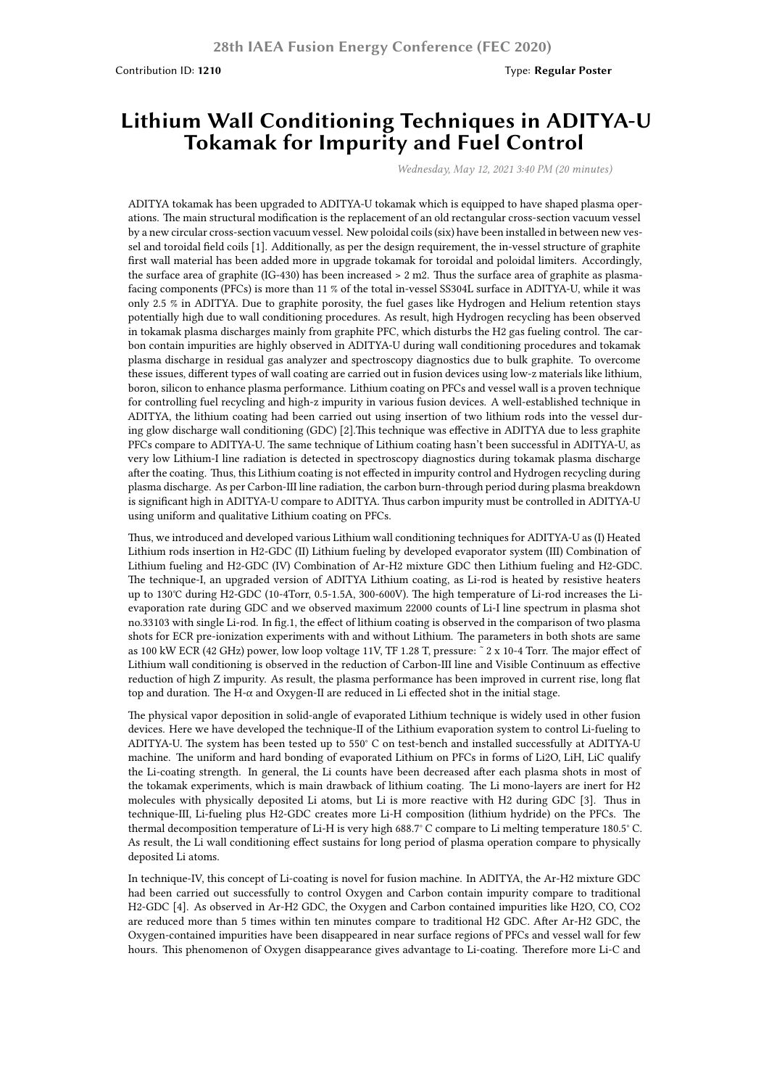Contribution ID: **1210** Type: **Regular Poster**

## **Lithium Wall Conditioning Techniques in ADITYA-U Tokamak for Impurity and Fuel Control**

*Wednesday, May 12, 2021 3:40 PM (20 minutes)*

ADITYA tokamak has been upgraded to ADITYA-U tokamak which is equipped to have shaped plasma operations. The main structural modification is the replacement of an old rectangular cross-section vacuum vessel by a new circular cross-section vacuum vessel. New poloidal coils (six) have been installed in between new vessel and toroidal field coils [1]. Additionally, as per the design requirement, the in-vessel structure of graphite first wall material has been added more in upgrade tokamak for toroidal and poloidal limiters. Accordingly, the surface area of graphite (IG-430) has been increased > 2 m2. Thus the surface area of graphite as plasmafacing components (PFCs) is more than 11 % of the total in-vessel SS304L surface in ADITYA-U, while it was only 2.5 % in ADITYA. Due to graphite porosity, the fuel gases like Hydrogen and Helium retention stays potentially high due to wall conditioning procedures. As result, high Hydrogen recycling has been observed in tokamak plasma discharges mainly from graphite PFC, which disturbs the H2 gas fueling control. The carbon contain impurities are highly observed in ADITYA-U during wall conditioning procedures and tokamak plasma discharge in residual gas analyzer and spectroscopy diagnostics due to bulk graphite. To overcome these issues, different types of wall coating are carried out in fusion devices using low-z materials like lithium, boron, silicon to enhance plasma performance. Lithium coating on PFCs and vessel wall is a proven technique for controlling fuel recycling and high-z impurity in various fusion devices. A well-established technique in ADITYA, the lithium coating had been carried out using insertion of two lithium rods into the vessel during glow discharge wall conditioning (GDC) [2].This technique was effective in ADITYA due to less graphite PFCs compare to ADITYA-U. The same technique of Lithium coating hasn't been successful in ADITYA-U, as very low Lithium-I line radiation is detected in spectroscopy diagnostics during tokamak plasma discharge after the coating. Thus, this Lithium coating is not effected in impurity control and Hydrogen recycling during plasma discharge. As per Carbon-III line radiation, the carbon burn-through period during plasma breakdown is significant high in ADITYA-U compare to ADITYA. Thus carbon impurity must be controlled in ADITYA-U using uniform and qualitative Lithium coating on PFCs.

Thus, we introduced and developed various Lithium wall conditioning techniques for ADITYA-U as (I) Heated Lithium rods insertion in H2-GDC (II) Lithium fueling by developed evaporator system (III) Combination of Lithium fueling and H2-GDC (IV) Combination of Ar-H2 mixture GDC then Lithium fueling and H2-GDC. The technique-I, an upgraded version of ADITYA Lithium coating, as Li-rod is heated by resistive heaters up to 130℃ during H2-GDC (10-4Torr, 0.5-1.5A, 300-600V). The high temperature of Li-rod increases the Lievaporation rate during GDC and we observed maximum 22000 counts of Li-I line spectrum in plasma shot no.33103 with single Li-rod. In fig.1, the effect of lithium coating is observed in the comparison of two plasma shots for ECR pre-ionization experiments with and without Lithium. The parameters in both shots are same as 100 kW ECR (42 GHz) power, low loop voltage 11V, TF 1.28 T, pressure: ˜ 2 x 10-4 Torr. The major effect of Lithium wall conditioning is observed in the reduction of Carbon-III line and Visible Continuum as effective reduction of high Z impurity. As result, the plasma performance has been improved in current rise, long flat top and duration. The H-α and Oxygen-II are reduced in Li effected shot in the initial stage.

The physical vapor deposition in solid-angle of evaporated Lithium technique is widely used in other fusion devices. Here we have developed the technique-II of the Lithium evaporation system to control Li-fueling to ADITYA-U. The system has been tested up to 550° C on test-bench and installed successfully at ADITYA-U machine. The uniform and hard bonding of evaporated Lithium on PFCs in forms of Li2O, LiH, LiC qualify the Li-coating strength. In general, the Li counts have been decreased after each plasma shots in most of the tokamak experiments, which is main drawback of lithium coating. The Li mono-layers are inert for H2 molecules with physically deposited Li atoms, but Li is more reactive with H2 during GDC [3]. Thus in technique-III, Li-fueling plus H2-GDC creates more Li-H composition (lithium hydride) on the PFCs. The thermal decomposition temperature of Li-H is very high 688.7° C compare to Li melting temperature 180.5° C. As result, the Li wall conditioning effect sustains for long period of plasma operation compare to physically deposited Li atoms.

In technique-IV, this concept of Li-coating is novel for fusion machine. In ADITYA, the Ar-H2 mixture GDC had been carried out successfully to control Oxygen and Carbon contain impurity compare to traditional H2-GDC [4]. As observed in Ar-H2 GDC, the Oxygen and Carbon contained impurities like H2O, CO, CO2 are reduced more than 5 times within ten minutes compare to traditional H2 GDC. After Ar-H2 GDC, the Oxygen-contained impurities have been disappeared in near surface regions of PFCs and vessel wall for few hours. This phenomenon of Oxygen disappearance gives advantage to Li-coating. Therefore more Li-C and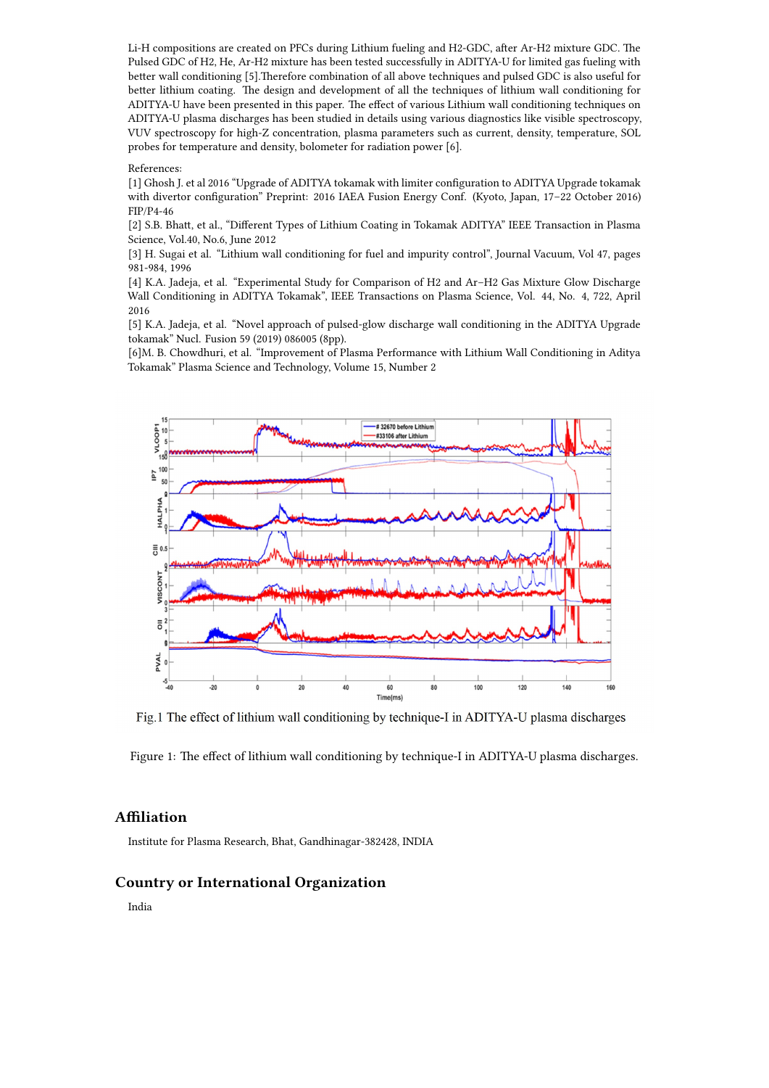Li-H compositions are created on PFCs during Lithium fueling and H2-GDC, after Ar-H2 mixture GDC. The Pulsed GDC of H2, He, Ar-H2 mixture has been tested successfully in ADITYA-U for limited gas fueling with better wall conditioning [5].Therefore combination of all above techniques and pulsed GDC is also useful for better lithium coating. The design and development of all the techniques of lithium wall conditioning for ADITYA-U have been presented in this paper. The effect of various Lithium wall conditioning techniques on ADITYA-U plasma discharges has been studied in details using various diagnostics like visible spectroscopy, VUV spectroscopy for high-Z concentration, plasma parameters such as current, density, temperature, SOL probes for temperature and density, bolometer for radiation power [6].

## References:

[1] Ghosh J. et al 2016 "Upgrade of ADITYA tokamak with limiter configuration to ADITYA Upgrade tokamak with divertor configuration" Preprint: 2016 IAEA Fusion Energy Conf. (Kyoto, Japan, 17–22 October 2016) FIP/P4-46

[2] S.B. Bhatt, et al., "Different Types of Lithium Coating in Tokamak ADITYA" IEEE Transaction in Plasma Science, Vol.40, No.6, June 2012

[3] H. Sugai et al. "Lithium wall conditioning for fuel and impurity control", Journal Vacuum, Vol 47, pages 981-984, 1996

[4] K.A. Jadeja, et al. "Experimental Study for Comparison of H2 and Ar–H2 Gas Mixture Glow Discharge Wall Conditioning in ADITYA Tokamak", IEEE Transactions on Plasma Science, Vol. 44, No. 4, 722, April 2016

[5] K.A. Jadeja, et al. "Novel approach of pulsed-glow discharge wall conditioning in the ADITYA Upgrade tokamak" Nucl. Fusion 59 (2019) 086005 (8pp).

[6]M. B. Chowdhuri, et al. "Improvement of Plasma Performance with Lithium Wall Conditioning in Aditya Tokamak" Plasma Science and Technology, Volume 15, Number 2



Fig.1 The effect of lithium wall conditioning by technique-I in ADITYA-U plasma discharges

Figure 1: The effect of lithium wall conditioning by technique-I in ADITYA-U plasma discharges.

## **Affiliation**

Institute for Plasma Research, Bhat, Gandhinagar-382428, INDIA

## **Country or International Organization**

India